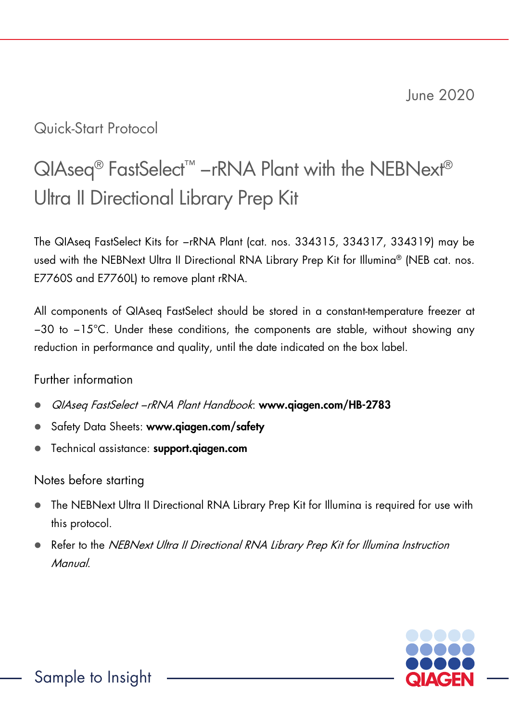# Quick-Start Protocol

# QIAseq<sup>®</sup> FastSelect<sup>™</sup> −rRNA Plant with the NEBNext<sup>®</sup> Ultra II Directional Library Prep Kit

The QIAseq FastSelect Kits for −rRNA Plant (cat. nos. 334315, 334317, 334319) may be used with the NEBNext Ultra II Directional RNA Library Prep Kit for Illumina® (NEB cat. nos. E7760S and E7760L) to remove plant rRNA.

All components of QIAseq FastSelect should be stored in a constant-temperature freezer at −30 to −15°C. Under these conditions, the components are stable, without showing any reduction in performance and quality, until the date indicated on the box label.

## Further information

- QIAseq FastSelect −rRNA Plant Handbook: www.qiagen.com/HB-2783
- Safety Data Sheets: www.qiagen.com/safety
- Technical assistance: support.qiagen.com

# Notes before starting

- The NEBNext Ultra II Directional RNA Library Prep Kit for Illumina is required for use with this protocol.
- Refer to the *NEBNext Ultra II Directional RNA Library Prep Kit for Illumina Instruction* Manual.

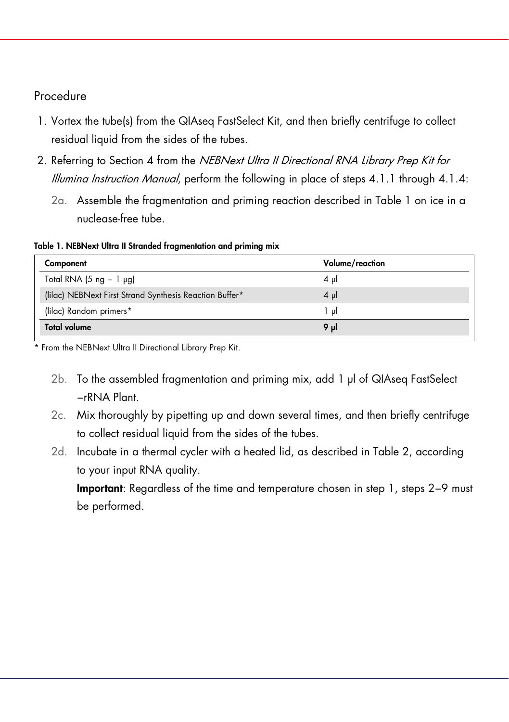#### Procedure

- 1. Vortex the tube(s) from the QIAseq FastSelect Kit, and then briefly centrifuge to collect residual liquid from the sides of the tubes.
- 2. Referring to Section 4 from the NEBNext Ultra II Directional RNA Library Prep Kit for Illumina Instruction Manual, perform the following in place of steps 4.1.1 through 4.1.4:
	- 2a. Assemble the fragmentation and priming reaction described in Table 1 on ice in a nuclease-free tube.

Table 1. NEBNext Ultra II Stranded fragmentation and priming mix

| Component                                               | Volume/reaction |  |
|---------------------------------------------------------|-----------------|--|
| Total RNA $(5 \text{ ng} - 1 \text{ pg})$               | $4 \mu$         |  |
| (lilac) NEBNext First Strand Synthesis Reaction Buffer* | $4 \mu$         |  |
| (lilac) Random primers*                                 | اں 1            |  |
| <b>Total volume</b>                                     | 9 yl            |  |

From the NEBNext Ultra II Directional Library Prep Kit.

- 2b. To the assembled fragmentation and priming mix, add 1 μl of QIAseq FastSelect −rRNA Plant.
- 2c. Mix thoroughly by pipetting up and down several times, and then briefly centrifuge to collect residual liquid from the sides of the tubes.
- 2d. Incubate in a thermal cycler with a heated lid, as described in Table 2, according to your input RNA quality.

Important: Regardless of the time and temperature chosen in step 1, steps 2−9 must be performed.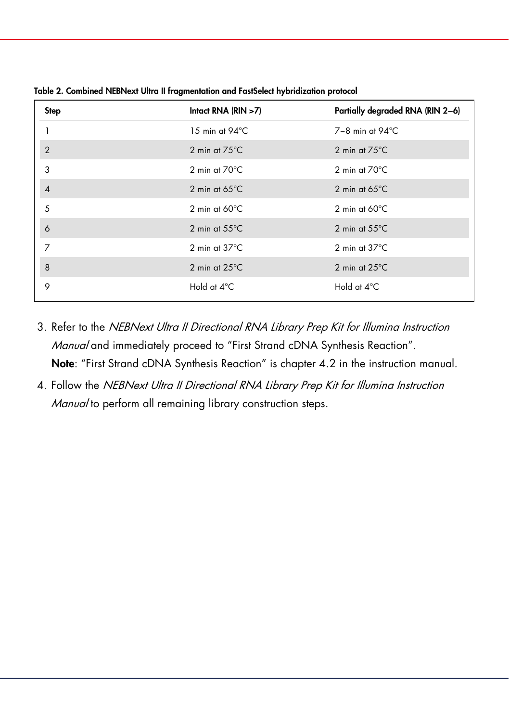| <b>Step</b>    | Intact RNA $(RIN > 7)$  | Partially degraded RNA (RIN 2-6) |
|----------------|-------------------------|----------------------------------|
|                | 15 min at 94°C          | $7-8$ min at $94^{\circ}$ C      |
| $\overline{2}$ | 2 min at $75^{\circ}$ C | 2 min at $75^{\circ}$ C          |
| 3              | 2 min at $70^{\circ}$ C | 2 min at $70^{\circ}$ C          |
| $\overline{4}$ | 2 min at $65^{\circ}$ C | 2 min at $65^{\circ}$ C          |
| 5              | 2 min at $60^{\circ}$ C | 2 min at $60^{\circ}$ C          |
| 6              | 2 min at $55^{\circ}$ C | 2 min at $55^{\circ}$ C          |
| 7              | 2 min at $37^{\circ}$ C | 2 min at $37^{\circ}$ C          |
| 8              | 2 min at $25^{\circ}$ C | 2 min at $25^{\circ}$ C          |
| 9              | Hold at 4°C             | Hold at 4°C                      |

Table 2. Combined NEBNext Ultra II fragmentation and FastSelect hybridization protocol

- 3. Refer to the NEBNext Ultra II Directional RNA Library Prep Kit for Illumina Instruction Manual and immediately proceed to "First Strand cDNA Synthesis Reaction". Note: "First Strand cDNA Synthesis Reaction" is chapter 4.2 in the instruction manual.
- 4. Follow the NEBNext Ultra II Directional RNA Library Prep Kit for Illumina Instruction Manual to perform all remaining library construction steps.